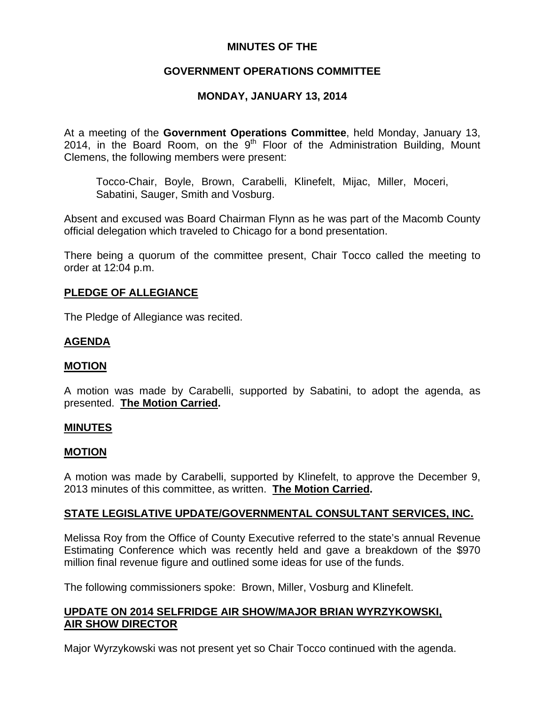# **MINUTES OF THE**

# **GOVERNMENT OPERATIONS COMMITTEE**

# **MONDAY, JANUARY 13, 2014**

At a meeting of the **Government Operations Committee**, held Monday, January 13, 2014, in the Board Room, on the  $9<sup>th</sup>$  Floor of the Administration Building, Mount Clemens, the following members were present:

Tocco-Chair, Boyle, Brown, Carabelli, Klinefelt, Mijac, Miller, Moceri, Sabatini, Sauger, Smith and Vosburg.

Absent and excused was Board Chairman Flynn as he was part of the Macomb County official delegation which traveled to Chicago for a bond presentation.

There being a quorum of the committee present, Chair Tocco called the meeting to order at 12:04 p.m.

### **PLEDGE OF ALLEGIANCE**

The Pledge of Allegiance was recited.

### **AGENDA**

### **MOTION**

A motion was made by Carabelli, supported by Sabatini, to adopt the agenda, as presented. **The Motion Carried.** 

#### **MINUTES**

### **MOTION**

A motion was made by Carabelli, supported by Klinefelt, to approve the December 9, 2013 minutes of this committee, as written. **The Motion Carried.** 

### **STATE LEGISLATIVE UPDATE/GOVERNMENTAL CONSULTANT SERVICES, INC.**

Melissa Roy from the Office of County Executive referred to the state's annual Revenue Estimating Conference which was recently held and gave a breakdown of the \$970 million final revenue figure and outlined some ideas for use of the funds.

The following commissioners spoke: Brown, Miller, Vosburg and Klinefelt.

# **UPDATE ON 2014 SELFRIDGE AIR SHOW/MAJOR BRIAN WYRZYKOWSKI, AIR SHOW DIRECTOR**

Major Wyrzykowski was not present yet so Chair Tocco continued with the agenda.